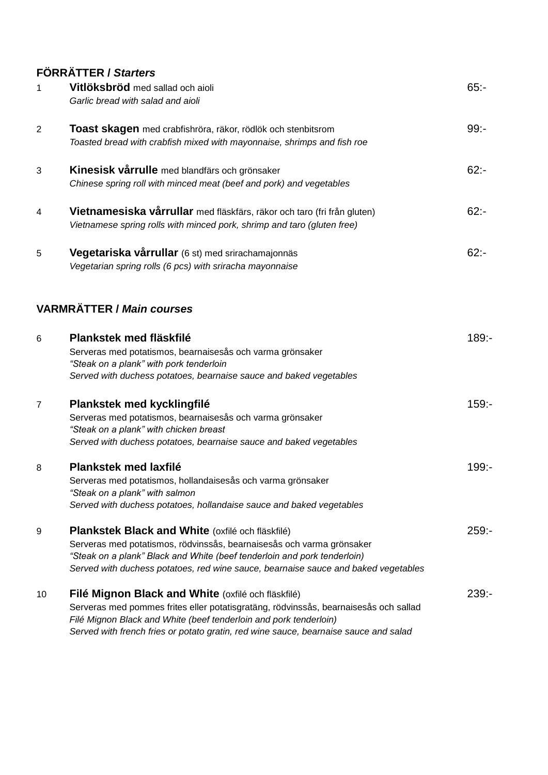# **FÖRRÄTTER /** *Starters*

| $\mathbf 1$    | Vitlöksbröd med sallad och aioli<br>Garlic bread with salad and aioli                                                                                                                                                                                                                                   | $65: -$  |
|----------------|---------------------------------------------------------------------------------------------------------------------------------------------------------------------------------------------------------------------------------------------------------------------------------------------------------|----------|
| 2              | Toast skagen med crabfishröra, räkor, rödlök och stenbitsrom<br>Toasted bread with crabfish mixed with mayonnaise, shrimps and fish roe                                                                                                                                                                 | $99: -$  |
| 3              | Kinesisk vårrulle med blandfärs och grönsaker<br>Chinese spring roll with minced meat (beef and pork) and vegetables                                                                                                                                                                                    | $62: -$  |
| 4              | Vietnamesiska vårrullar med fläskfärs, räkor och taro (fri från gluten)<br>Vietnamese spring rolls with minced pork, shrimp and taro (gluten free)                                                                                                                                                      | $62: -$  |
| 5              | Vegetariska vårrullar (6 st) med srirachamajonnäs<br>Vegetarian spring rolls (6 pcs) with sriracha mayonnaise                                                                                                                                                                                           | $62: -$  |
|                | <b>VARMRÄTTER / Main courses</b>                                                                                                                                                                                                                                                                        |          |
| 6              | Plankstek med fläskfilé<br>Serveras med potatismos, bearnaisesås och varma grönsaker<br>"Steak on a plank" with pork tenderloin<br>Served with duchess potatoes, bearnaise sauce and baked vegetables                                                                                                   | $189: -$ |
| $\overline{7}$ | Plankstek med kycklingfilé<br>Serveras med potatismos, bearnaisesås och varma grönsaker<br>"Steak on a plank" with chicken breast<br>Served with duchess potatoes, bearnaise sauce and baked vegetables                                                                                                 | $159: -$ |
| 8              | Plankstek med laxfilé<br>Serveras med potatismos, hollandaisesås och varma grönsaker<br>"Steak on a plank" with salmon<br>Served with duchess potatoes, hollandaise sauce and baked vegetables                                                                                                          | $199: -$ |
| 9              | Plankstek Black and White (oxfilé och fläskfilé)<br>Serveras med potatismos, rödvinssås, bearnaisesås och varma grönsaker<br>"Steak on a plank" Black and White (beef tenderloin and pork tenderloin)<br>Served with duchess potatoes, red wine sauce, bearnaise sauce and baked vegetables             | $259: -$ |
| 10             | Filé Mignon Black and White (oxfilé och fläskfilé)<br>Serveras med pommes frites eller potatisgratäng, rödvinssås, bearnaisesås och sallad<br>Filé Mignon Black and White (beef tenderloin and pork tenderloin)<br>Served with french fries or potato gratin, red wine sauce, bearnaise sauce and salad | $239: -$ |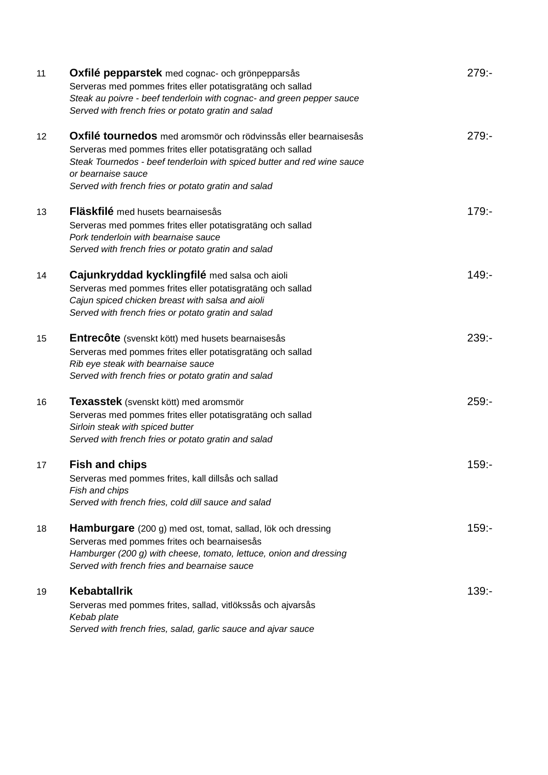| 11 | <b>Oxfilé pepparstek</b> med cognac- och grönpepparsås<br>Serveras med pommes frites eller potatisgratäng och sallad<br>Steak au poivre - beef tenderloin with cognac- and green pepper sauce<br>Served with french fries or potato gratin and salad                                  | $279: -$ |
|----|---------------------------------------------------------------------------------------------------------------------------------------------------------------------------------------------------------------------------------------------------------------------------------------|----------|
| 12 | Oxfilé tournedos med aromsmör och rödvinssås eller bearnaisesås<br>Serveras med pommes frites eller potatisgratäng och sallad<br>Steak Tournedos - beef tenderloin with spiced butter and red wine sauce<br>or bearnaise sauce<br>Served with french fries or potato gratin and salad | $279: -$ |
| 13 | Fläskfilé med husets bearnaisesås<br>Serveras med pommes frites eller potatisgratäng och sallad<br>Pork tenderloin with bearnaise sauce<br>Served with french fries or potato gratin and salad                                                                                        | $179: -$ |
| 14 | Cajunkryddad kycklingfilé med salsa och aioli<br>Serveras med pommes frites eller potatisgratäng och sallad<br>Cajun spiced chicken breast with salsa and aioli<br>Served with french fries or potato gratin and salad                                                                | $149: -$ |
| 15 | <b>Entrecôte</b> (svenskt kött) med husets bearnaisesås<br>Serveras med pommes frites eller potatisgratäng och sallad<br>Rib eye steak with bearnaise sauce<br>Served with french fries or potato gratin and salad                                                                    | $239: -$ |
| 16 | <b>Texasstek</b> (svenskt kött) med aromsmör<br>Serveras med pommes frites eller potatisgratäng och sallad<br>Sirloin steak with spiced butter<br>Served with french fries or potato gratin and salad                                                                                 | $259: -$ |
| 17 | <b>Fish and chips</b><br>Serveras med pommes frites, kall dillsås och sallad<br>Fish and chips<br>Served with french fries, cold dill sauce and salad                                                                                                                                 | $159: -$ |
| 18 | Hamburgare (200 g) med ost, tomat, sallad, lök och dressing<br>Serveras med pommes frites och bearnaisesås<br>Hamburger (200 g) with cheese, tomato, lettuce, onion and dressing<br>Served with french fries and bearnaise sauce                                                      | $159: -$ |
| 19 | <b>Kebabtallrik</b><br>Serveras med pommes frites, sallad, vitlökssås och ajvarsås<br>Kebab plate<br>Served with french fries, salad, garlic sauce and ajvar sauce                                                                                                                    | $139: -$ |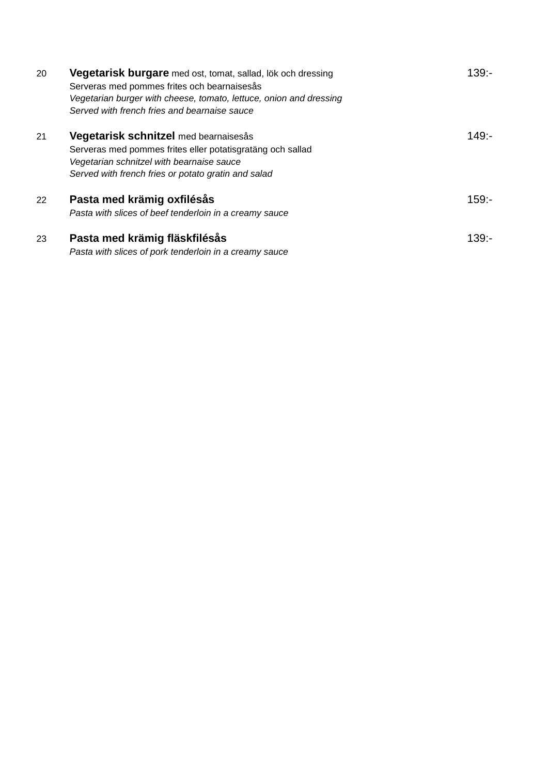| 20 | Vegetarisk burgare med ost, tomat, sallad, lök och dressing<br>Serveras med pommes frites och bearnaisesås<br>Vegetarian burger with cheese, tomato, lettuce, onion and dressing<br>Served with french fries and bearnaise sauce | $139: -$ |
|----|----------------------------------------------------------------------------------------------------------------------------------------------------------------------------------------------------------------------------------|----------|
| 21 | Vegetarisk schnitzel med bearnaisesås<br>Serveras med pommes frites eller potatisgratäng och sallad<br>Vegetarian schnitzel with bearnaise sauce<br>Served with french fries or potato gratin and salad                          | $149: -$ |
| 22 | Pasta med krämig oxfilésås<br>Pasta with slices of beef tenderloin in a creamy sauce                                                                                                                                             | $159: -$ |
| 23 | Pasta med krämig fläskfilésås<br>Pasta with slices of pork tenderloin in a creamy sauce                                                                                                                                          | $139 -$  |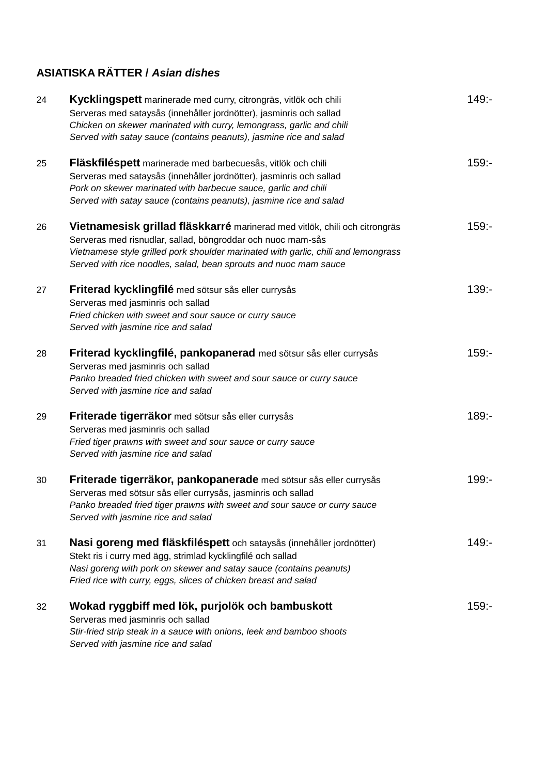# **ASIATISKA RÄTTER /** *Asian dishes*

| 24 | Kycklingspett marinerade med curry, citrongräs, vitlök och chili<br>Serveras med sataysås (innehåller jordnötter), jasminris och sallad<br>Chicken on skewer marinated with curry, lemongrass, garlic and chili<br>Served with satay sauce (contains peanuts), jasmine rice and salad               | $149: -$ |
|----|-----------------------------------------------------------------------------------------------------------------------------------------------------------------------------------------------------------------------------------------------------------------------------------------------------|----------|
| 25 | Fläskfiléspett marinerade med barbecuesås, vitlök och chili<br>Serveras med sataysås (innehåller jordnötter), jasminris och sallad<br>Pork on skewer marinated with barbecue sauce, garlic and chili<br>Served with satay sauce (contains peanuts), jasmine rice and salad                          | $159: -$ |
| 26 | Vietnamesisk grillad fläskkarré marinerad med vitlök, chili och citrongräs<br>Serveras med risnudlar, sallad, böngroddar och nuoc mam-sås<br>Vietnamese style grilled pork shoulder marinated with garlic, chili and lemongrass<br>Served with rice noodles, salad, bean sprouts and nuoc mam sauce | $159: -$ |
| 27 | Friterad kycklingfilé med sötsur sås eller currysås<br>Serveras med jasminris och sallad<br>Fried chicken with sweet and sour sauce or curry sauce<br>Served with jasmine rice and salad                                                                                                            | $139: -$ |
| 28 | Friterad kycklingfilé, pankopanerad med sötsur sås eller currysås<br>Serveras med jasminris och sallad<br>Panko breaded fried chicken with sweet and sour sauce or curry sauce<br>Served with jasmine rice and salad                                                                                | $159: -$ |
| 29 | Friterade tigerräkor med sötsur sås eller currysås<br>Serveras med jasminris och sallad<br>Fried tiger prawns with sweet and sour sauce or curry sauce<br>Served with jasmine rice and salad                                                                                                        | $189: -$ |
| 30 | Friterade tigerräkor, pankopanerade med sötsur sås eller currysås<br>Serveras med sötsur sås eller currysås, jasminris och sallad<br>Panko breaded fried tiger prawns with sweet and sour sauce or curry sauce<br>Served with jasmine rice and salad                                                | $199: -$ |
| 31 | Nasi goreng med fläskfiléspett och sataysås (innehåller jordnötter)<br>Stekt ris i curry med ägg, strimlad kycklingfilé och sallad<br>Nasi goreng with pork on skewer and satay sauce (contains peanuts)<br>Fried rice with curry, eggs, slices of chicken breast and salad                         | $149: -$ |
| 32 | Wokad ryggbiff med lök, purjolök och bambuskott<br>Serveras med jasminris och sallad<br>Stir-fried strip steak in a sauce with onions, leek and bamboo shoots<br>Served with jasmine rice and salad                                                                                                 | $159: -$ |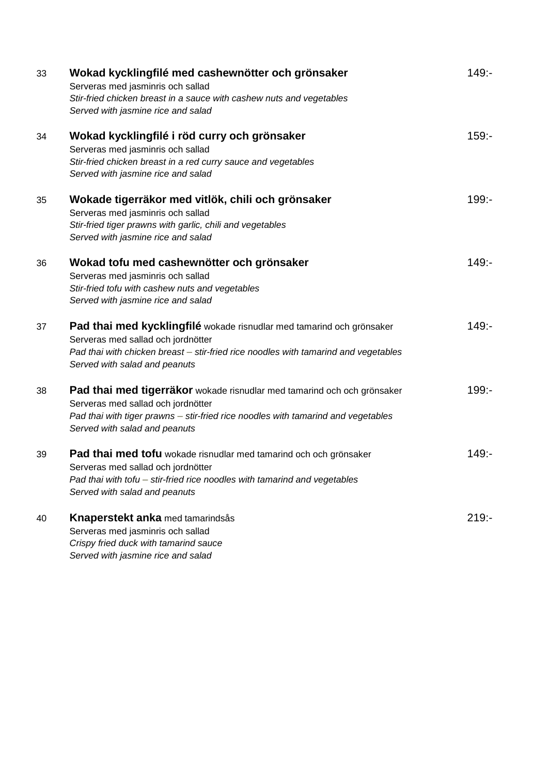| 33 | Wokad kycklingfilé med cashewnötter och grönsaker<br>Serveras med jasminris och sallad<br>Stir-fried chicken breast in a sauce with cashew nuts and vegetables<br>Served with jasmine rice and salad                                | $149: -$ |
|----|-------------------------------------------------------------------------------------------------------------------------------------------------------------------------------------------------------------------------------------|----------|
| 34 | Wokad kycklingfilé i röd curry och grönsaker<br>Serveras med jasminris och sallad<br>Stir-fried chicken breast in a red curry sauce and vegetables<br>Served with jasmine rice and salad                                            | $159: -$ |
| 35 | Wokade tigerräkor med vitlök, chili och grönsaker<br>Serveras med jasminris och sallad<br>Stir-fried tiger prawns with garlic, chili and vegetables<br>Served with jasmine rice and salad                                           | $199: -$ |
| 36 | Wokad tofu med cashewnötter och grönsaker<br>Serveras med jasminris och sallad<br>Stir-fried tofu with cashew nuts and vegetables<br>Served with jasmine rice and salad                                                             | $149: -$ |
| 37 | Pad thai med kycklingfilé wokade risnudlar med tamarind och grönsaker<br>Serveras med sallad och jordnötter<br>Pad thai with chicken breast - stir-fried rice noodles with tamarind and vegetables<br>Served with salad and peanuts | $149: -$ |
| 38 | Pad thai med tigerräkor wokade risnudlar med tamarind och och grönsaker<br>Serveras med sallad och jordnötter<br>Pad thai with tiger prawns - stir-fried rice noodles with tamarind and vegetables<br>Served with salad and peanuts | $199: -$ |
| 39 | Pad thai med tofu wokade risnudlar med tamarind och och grönsaker<br>Serveras med sallad och jordnötter<br>Pad thai with tofu - stir-fried rice noodles with tamarind and vegetables<br>Served with salad and peanuts               | $149: -$ |
| 40 | Knaperstekt anka med tamarindsås<br>Serveras med jasminris och sallad<br>Crispy fried duck with tamarind sauce<br>Served with jasmine rice and salad                                                                                | $219: -$ |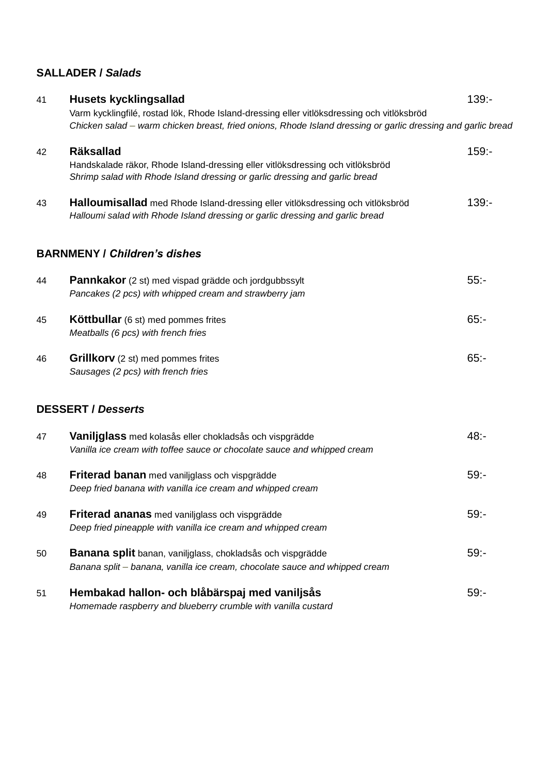## **SALLADER /** *Salads*

| 41 | <b>Husets kycklingsallad</b>                                                                                                                                                                               | $139: -$ |  |
|----|------------------------------------------------------------------------------------------------------------------------------------------------------------------------------------------------------------|----------|--|
|    | Varm kycklingfilé, rostad lök, Rhode Island-dressing eller vitlöksdressing och vitlöksbröd<br>Chicken salad – warm chicken breast, fried onions, Rhode Island dressing or garlic dressing and garlic breac |          |  |
| 42 | <b>Räksallad</b><br>Handskalade räkor, Rhode Island-dressing eller vitlöksdressing och vitlöksbröd<br>Shrimp salad with Rhode Island dressing or garlic dressing and garlic bread                          | $159: -$ |  |
| 43 | Halloumisallad med Rhode Island-dressing eller vitlöksdressing och vitlöksbröd<br>Halloumi salad with Rhode Island dressing or garlic dressing and garlic bread                                            | $139: -$ |  |
|    | <b>BARNMENY / Children's dishes</b>                                                                                                                                                                        |          |  |
| 44 | <b>Pannkakor</b> (2 st) med vispad grädde och jordgubbssylt<br>Pancakes (2 pcs) with whipped cream and strawberry jam                                                                                      | $55: -$  |  |
| 45 | <b>Köttbullar</b> (6 st) med pommes frites<br>Meatballs (6 pcs) with french fries                                                                                                                          | $65: -$  |  |
| 46 | Grillkorv (2 st) med pommes frites<br>Sausages (2 pcs) with french fries                                                                                                                                   | $65: -$  |  |
|    | <b>DESSERT / Desserts</b>                                                                                                                                                                                  |          |  |
| 47 | Vaniljglass med kolasås eller chokladsås och vispgrädde<br>Vanilla ice cream with toffee sauce or chocolate sauce and whipped cream                                                                        | $48: -$  |  |
| 48 | Friterad banan med vaniljglass och vispgrädde<br>Deep fried banana with vanilla ice cream and whipped cream                                                                                                | $59: -$  |  |
| 49 | Friterad ananas med vaniljglass och vispgrädde<br>Deep fried pineapple with vanilla ice cream and whipped cream                                                                                            | $59: -$  |  |
| 50 | Banana split banan, vaniliglass, chokladsås och vispgrädde<br>Banana split - banana, vanilla ice cream, chocolate sauce and whipped cream                                                                  | $59: -$  |  |
| 51 | Hembakad hallon- och blåbärspaj med vaniljsås<br>Homemade raspberry and blueberry crumble with vanilla custard                                                                                             | $59: -$  |  |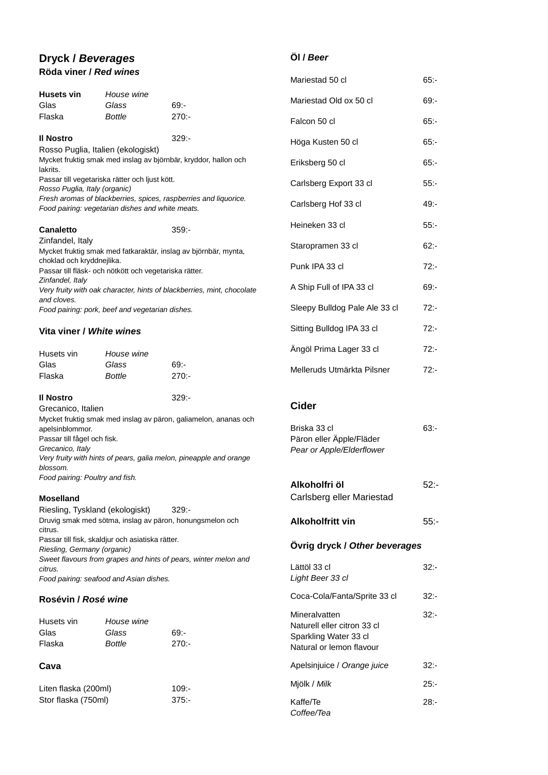### **Dryck /** *Beverages* **Röda viner /** *Red wines*

#### **Öl /** *Beer*

*Coffee/Tea*

|                                                                                                                                                        |                                                        |                                                                        | Mariestad 50 cl                                      | $65: -$ |
|--------------------------------------------------------------------------------------------------------------------------------------------------------|--------------------------------------------------------|------------------------------------------------------------------------|------------------------------------------------------|---------|
| <b>Husets vin</b>                                                                                                                                      | House wine                                             |                                                                        | Mariestad Old ox 50 cl                               | $69: -$ |
| Glas<br>Flaska                                                                                                                                         | Glass<br><b>Bottle</b>                                 | $69: -$<br>270:                                                        |                                                      |         |
|                                                                                                                                                        |                                                        |                                                                        | Falcon 50 cl                                         | $65: -$ |
| <b>II Nostro</b><br>Rosso Puglia, Italien (ekologiskt)                                                                                                 |                                                        | $329: -$                                                               | Höga Kusten 50 cl                                    | 65:     |
| lakrits.                                                                                                                                               |                                                        | Mycket fruktig smak med inslag av björnbär, kryddor, hallon och        | Eriksberg 50 cl                                      | $65: -$ |
| Rosso Puglia, Italy (organic)                                                                                                                          | Passar till vegetariska rätter och ljust kött.         |                                                                        | Carlsberg Export 33 cl                               | $55: -$ |
|                                                                                                                                                        | Food pairing: vegetarian dishes and white meats.       | Fresh aromas of blackberries, spices, raspberries and liquorice.       | Carlsberg Hof 33 cl                                  | 49:-    |
| <b>Canaletto</b>                                                                                                                                       |                                                        | $359: -$                                                               | Heineken 33 cl                                       | $55: -$ |
| Zinfandel, Italy                                                                                                                                       |                                                        | Mycket fruktig smak med fatkaraktär, inslag av björnbär, mynta,        | Staropramen 33 cl                                    | $62: -$ |
| choklad och kryddnejlika.<br>Zinfandel, Italy                                                                                                          | Passar till fläsk- och nötkött och vegetariska rätter. |                                                                        | Punk IPA 33 cl                                       | $72: -$ |
| and cloves.                                                                                                                                            |                                                        | Very fruity with oak character, hints of blackberries, mint, chocolate | A Ship Full of IPA 33 cl                             | $69: -$ |
|                                                                                                                                                        | Food pairing: pork, beef and vegetarian dishes.        |                                                                        | Sleepy Bulldog Pale Ale 33 cl                        | $72: -$ |
| Vita viner / White wines                                                                                                                               |                                                        |                                                                        | Sitting Bulldog IPA 33 cl                            | $72: -$ |
| Husets vin                                                                                                                                             | House wine                                             |                                                                        | Ängöl Prima Lager 33 cl                              | $72: -$ |
| Glas<br>Flaska                                                                                                                                         | Glass<br><b>Bottle</b>                                 | $69: -$<br>$270: -$                                                    | Melleruds Utmärkta Pilsner                           | $72: -$ |
| <b>II Nostro</b>                                                                                                                                       |                                                        | $329: -$                                                               |                                                      |         |
| Grecanico, Italien                                                                                                                                     |                                                        |                                                                        | <b>Cider</b>                                         |         |
| apelsinblommor.                                                                                                                                        |                                                        | Mycket fruktig smak med inslag av päron, galiamelon, ananas och        | Briska 33 cl                                         | 63:     |
| Passar till fågel och fisk.                                                                                                                            |                                                        |                                                                        | Päron eller Äpple/Fläder                             |         |
| Grecanico, Italy<br>blossom.                                                                                                                           |                                                        | Very fruity with hints of pears, galia melon, pineapple and orange     | Pear or Apple/Elderflower                            |         |
| Food pairing: Poultry and fish.                                                                                                                        |                                                        |                                                                        |                                                      |         |
|                                                                                                                                                        |                                                        |                                                                        | Alkoholfri öl<br>Carlsberg eller Mariestad           | 52:     |
| <b>Moselland</b><br>Riesling, Tyskland (ekologiskt)                                                                                                    |                                                        | $329: -$                                                               |                                                      |         |
| Druvig smak med sötma, inslag av päron, honungsmelon och<br>citrus.<br>Passar till fisk, skaldjur och asiatiska rätter.<br>Riesling, Germany (organic) |                                                        |                                                                        | Alkoholfritt vin                                     | 55:     |
|                                                                                                                                                        |                                                        |                                                                        | Ovrig dryck / Other beverages                        |         |
| citrus.                                                                                                                                                |                                                        | Sweet flavours from grapes and hints of pears, winter melon and        | Lättöl 33 cl                                         | 32:-    |
| Food pairing: seafood and Asian dishes.                                                                                                                |                                                        |                                                                        | Light Beer 33 cl                                     |         |
| Rosévin / Rosé wine                                                                                                                                    |                                                        |                                                                        |                                                      |         |
|                                                                                                                                                        |                                                        |                                                                        | Coca-Cola/Fanta/Sprite 33 cl                         | $32: -$ |
|                                                                                                                                                        |                                                        |                                                                        | Mineralvatten                                        | $32: -$ |
| Husets vin<br>Glas<br>Flaska                                                                                                                           | House wine<br>Glass<br><b>Bottle</b>                   | $69: -$<br>$270: -$                                                    | Naturell eller citron 33 cl<br>Sparkling Water 33 cl |         |
|                                                                                                                                                        |                                                        |                                                                        | Natural or lemon flavour                             |         |
| Cava                                                                                                                                                   |                                                        |                                                                        | Apelsinjuice / Orange juice                          | $32: -$ |
| Liten flaska (200ml)<br>Stor flaska (750ml)                                                                                                            |                                                        | $109: -$<br>$375: -$                                                   | Mjölk / Milk<br>Kaffe/Te                             | $25: -$ |